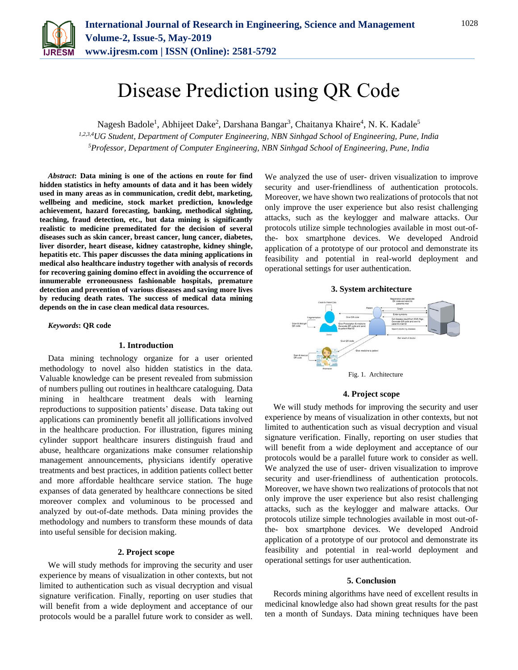

# Disease Prediction using QR Code

Nagesh Badole<sup>1</sup>, Abhijeet Dake<sup>2</sup>, Darshana Bangar<sup>3</sup>, Chaitanya Khaire<sup>4</sup>, N. K. Kadale<sup>5</sup>

*1,2,3,4UG Student, Department of Computer Engineering, NBN Sinhgad School of Engineering, Pune, India 5Professor, Department of Computer Engineering, NBN Sinhgad School of Engineering, Pune, India*

*Abstract***: Data mining is one of the actions en route for find hidden statistics in hefty amounts of data and it has been widely used in many areas as in communication, credit debt, marketing, wellbeing and medicine, stock market prediction, knowledge achievement, hazard forecasting, banking, methodical sighting, teaching, fraud detection, etc., but data mining is significantly realistic to medicine premeditated for the decision of several diseases such as skin cancer, breast cancer, lung cancer, diabetes, liver disorder, heart disease, kidney catastrophe, kidney shingle, hepatitis etc. This paper discusses the data mining applications in medical also healthcare industry together with analysis of records for recovering gaining domino effect in avoiding the occurrence of innumerable erroneousness fashionable hospitals, premature detection and prevention of various diseases and saving more lives by reducing death rates. The success of medical data mining depends on the in case clean medical data resources.** 

*Keywords***: QR code**

## **1. Introduction**

Data mining technology organize for a user oriented methodology to novel also hidden statistics in the data. Valuable knowledge can be present revealed from submission of numbers pulling out routines in healthcare cataloguing. Data mining in healthcare treatment deals with learning reproductions to supposition patients' disease. Data taking out applications can prominently benefit all jollifications involved in the healthcare production. For illustration, figures mining cylinder support healthcare insurers distinguish fraud and abuse, healthcare organizations make consumer relationship management announcements, physicians identify operative treatments and best practices, in addition patients collect better and more affordable healthcare service station. The huge expanses of data generated by healthcare connections be sited moreover complex and voluminous to be processed and analyzed by out-of-date methods. Data mining provides the methodology and numbers to transform these mounds of data into useful sensible for decision making.

## **2. Project scope**

We will study methods for improving the security and user experience by means of visualization in other contexts, but not limited to authentication such as visual decryption and visual signature verification. Finally, reporting on user studies that will benefit from a wide deployment and acceptance of our protocols would be a parallel future work to consider as well.

We analyzed the use of user- driven visualization to improve security and user-friendliness of authentication protocols. Moreover, we have shown two realizations of protocols that not only improve the user experience but also resist challenging attacks, such as the keylogger and malware attacks. Our protocols utilize simple technologies available in most out-ofthe- box smartphone devices. We developed Android application of a prototype of our protocol and demonstrate its feasibility and potential in real-world deployment and operational settings for user authentication.



#### **4. Project scope**

We will study methods for improving the security and user experience by means of visualization in other contexts, but not limited to authentication such as visual decryption and visual signature verification. Finally, reporting on user studies that will benefit from a wide deployment and acceptance of our protocols would be a parallel future work to consider as well. We analyzed the use of user- driven visualization to improve security and user-friendliness of authentication protocols. Moreover, we have shown two realizations of protocols that not only improve the user experience but also resist challenging attacks, such as the keylogger and malware attacks. Our protocols utilize simple technologies available in most out-ofthe- box smartphone devices. We developed Android application of a prototype of our protocol and demonstrate its feasibility and potential in real-world deployment and operational settings for user authentication.

#### **5. Conclusion**

Records mining algorithms have need of excellent results in medicinal knowledge also had shown great results for the past ten a month of Sundays. Data mining techniques have been